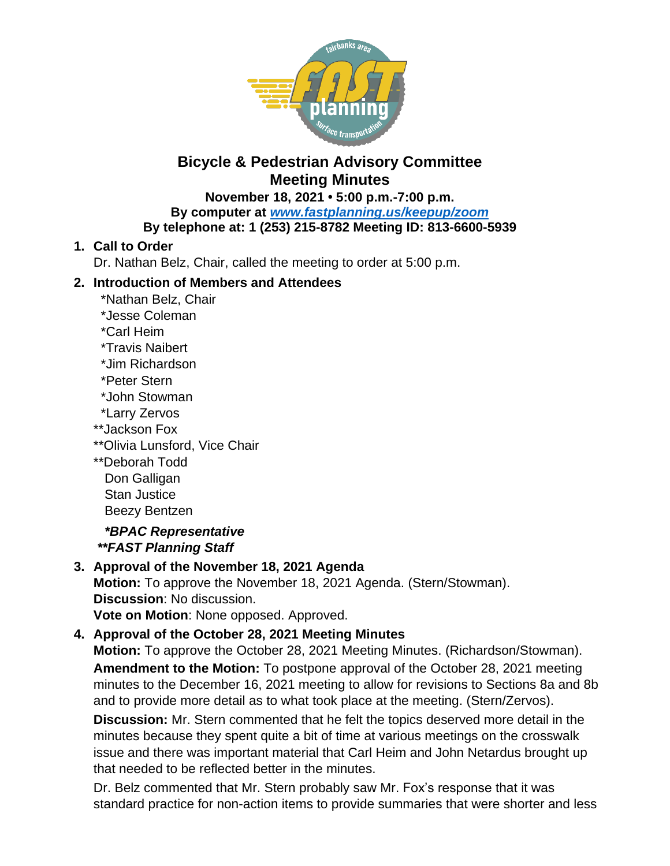

#### **November 18, 2021 • 5:00 p.m.-7:00 p.m. By computer at** *[www.fastplanning.us/keepup/zoom](http://www.fastplanning.us/keepup/zoom)* **By telephone at: 1 (253) 215-8782 Meeting ID: 813-6600-5939**

## **1. Call to Order**

Dr. Nathan Belz, Chair, called the meeting to order at 5:00 p.m.

## **2. Introduction of Members and Attendees**

- \*Nathan Belz, Chair
- \*Jesse Coleman
- \*Carl Heim
- \*Travis Naibert
- \*Jim Richardson
- \*Peter Stern
- \*John Stowman
- \*Larry Zervos
- \*\*Jackson Fox
- \*\*Olivia Lunsford, Vice Chair
- \*\*Deborah Todd
- Don Galligan Stan Justice Beezy Bentzen

 *\*BPAC Representative \*\*FAST Planning Staff*

# **3. Approval of the November 18, 2021 Agenda**

**Motion:** To approve the November 18, 2021 Agenda. (Stern/Stowman). **Discussion**: No discussion.

**Vote on Motion**: None opposed. Approved.

# **4. Approval of the October 28, 2021 Meeting Minutes**

**Motion:** To approve the October 28, 2021 Meeting Minutes. (Richardson/Stowman). **Amendment to the Motion:** To postpone approval of the October 28, 2021 meeting minutes to the December 16, 2021 meeting to allow for revisions to Sections 8a and 8b and to provide more detail as to what took place at the meeting. (Stern/Zervos).

**Discussion:** Mr. Stern commented that he felt the topics deserved more detail in the minutes because they spent quite a bit of time at various meetings on the crosswalk issue and there was important material that Carl Heim and John Netardus brought up that needed to be reflected better in the minutes.

Dr. Belz commented that Mr. Stern probably saw Mr. Fox's response that it was standard practice for non-action items to provide summaries that were shorter and less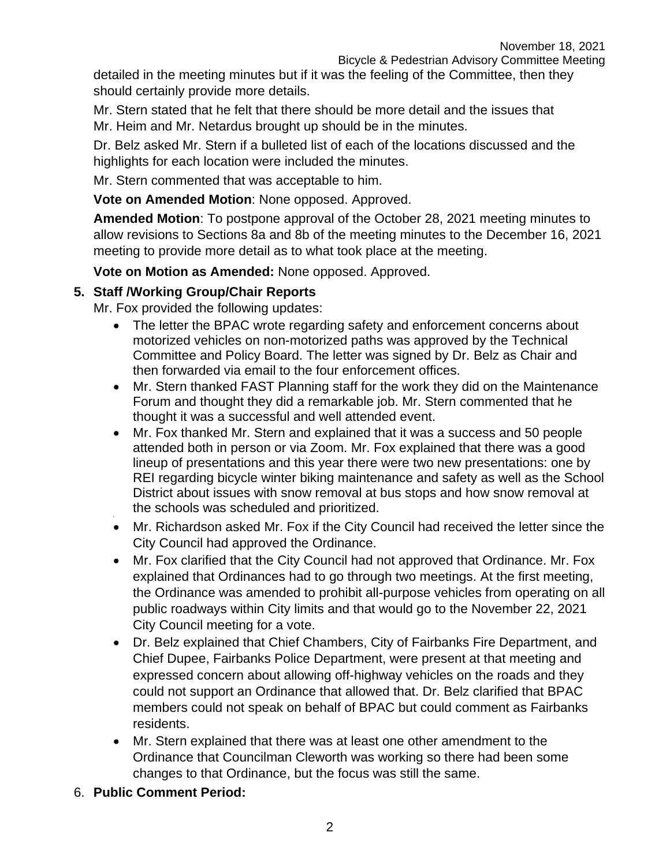detailed in the meeting minutes but if it was the feeling of the Committee, then they should certainly provide more details.

Mr. Stern stated that he felt that there should be more detail and the issues that Mr. Heim and Mr. Netardus brought up should be in the minutes.

Dr. Belz asked Mr. Stern if a bulleted list of each of the locations discussed and the highlights for each location were included the minutes.

Mr. Stern commented that was acceptable to him.

**Vote on Amended Motion**: None opposed. Approved.

**Amended Motion**: To postpone approval of the October 28, 2021 meeting minutes to allow revisions to Sections 8a and 8b of the meeting minutes to the December 16, 2021 meeting to provide more detail as to what took place at the meeting.

**Vote on Motion as Amended:** None opposed. Approved.

### **5. Staff /Working Group/Chair Reports**

Mr. Fox provided the following updates:

- The letter the BPAC wrote regarding safety and enforcement concerns about motorized vehicles on non-motorized paths was approved by the Technical Committee and Policy Board. The letter was signed by Dr. Belz as Chair and then forwarded via email to the four enforcement offices.
- Mr. Stern thanked FAST Planning staff for the work they did on the Maintenance Forum and thought they did a remarkable job. Mr. Stern commented that he thought it was a successful and well attended event.
- Mr. Fox thanked Mr. Stern and explained that it was a success and 50 people attended both in person or via Zoom. Mr. Fox explained that there was a good lineup of presentations and this year there were two new presentations: one by REI regarding bicycle winter biking maintenance and safety as well as the School District about issues with snow removal at bus stops and how snow removal at the schools was scheduled and prioritized.
- Mr. Richardson asked Mr. Fox if the City Council had received the letter since the City Council had approved the Ordinance.
- Mr. Fox clarified that the City Council had not approved that Ordinance. Mr. Fox explained that Ordinances had to go through two meetings. At the first meeting, the Ordinance was amended to prohibit all-purpose vehicles from operating on all public roadways within City limits and that would go to the November 22, 2021 City Council meeting for a vote.
- Dr. Belz explained that Chief Chambers, City of Fairbanks Fire Department, and Chief Dupee, Fairbanks Police Department, were present at that meeting and expressed concern about allowing off-highway vehicles on the roads and they could not support an Ordinance that allowed that. Dr. Belz clarified that BPAC members could not speak on behalf of BPAC but could comment as Fairbanks residents.
- Mr. Stern explained that there was at least one other amendment to the Ordinance that Councilman Cleworth was working so there had been some changes to that Ordinance, but the focus was still the same.
- 6. **Public Comment Period:**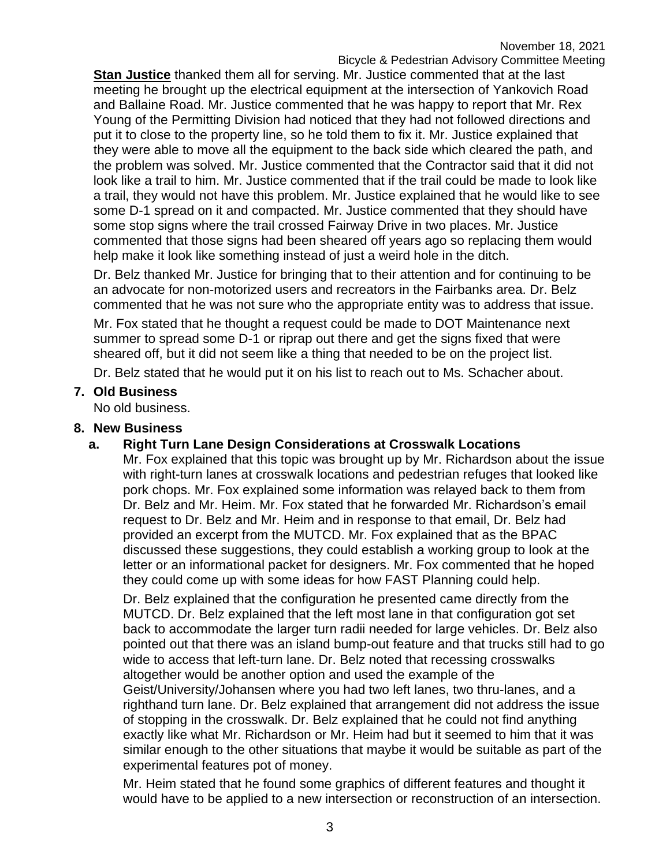**Stan Justice** thanked them all for serving. Mr. Justice commented that at the last meeting he brought up the electrical equipment at the intersection of Yankovich Road and Ballaine Road. Mr. Justice commented that he was happy to report that Mr. Rex Young of the Permitting Division had noticed that they had not followed directions and put it to close to the property line, so he told them to fix it. Mr. Justice explained that they were able to move all the equipment to the back side which cleared the path, and the problem was solved. Mr. Justice commented that the Contractor said that it did not look like a trail to him. Mr. Justice commented that if the trail could be made to look like a trail, they would not have this problem. Mr. Justice explained that he would like to see some D-1 spread on it and compacted. Mr. Justice commented that they should have some stop signs where the trail crossed Fairway Drive in two places. Mr. Justice commented that those signs had been sheared off years ago so replacing them would help make it look like something instead of just a weird hole in the ditch.

Dr. Belz thanked Mr. Justice for bringing that to their attention and for continuing to be an advocate for non-motorized users and recreators in the Fairbanks area. Dr. Belz commented that he was not sure who the appropriate entity was to address that issue.

Mr. Fox stated that he thought a request could be made to DOT Maintenance next summer to spread some D-1 or riprap out there and get the signs fixed that were sheared off, but it did not seem like a thing that needed to be on the project list.

Dr. Belz stated that he would put it on his list to reach out to Ms. Schacher about.

#### **7. Old Business**

No old business.

#### **8. New Business**

### **a. Right Turn Lane Design Considerations at Crosswalk Locations**

Mr. Fox explained that this topic was brought up by Mr. Richardson about the issue with right-turn lanes at crosswalk locations and pedestrian refuges that looked like pork chops. Mr. Fox explained some information was relayed back to them from Dr. Belz and Mr. Heim. Mr. Fox stated that he forwarded Mr. Richardson's email request to Dr. Belz and Mr. Heim and in response to that email, Dr. Belz had provided an excerpt from the MUTCD. Mr. Fox explained that as the BPAC discussed these suggestions, they could establish a working group to look at the letter or an informational packet for designers. Mr. Fox commented that he hoped they could come up with some ideas for how FAST Planning could help.

Dr. Belz explained that the configuration he presented came directly from the MUTCD. Dr. Belz explained that the left most lane in that configuration got set back to accommodate the larger turn radii needed for large vehicles. Dr. Belz also pointed out that there was an island bump-out feature and that trucks still had to go wide to access that left-turn lane. Dr. Belz noted that recessing crosswalks altogether would be another option and used the example of the Geist/University/Johansen where you had two left lanes, two thru-lanes, and a righthand turn lane. Dr. Belz explained that arrangement did not address the issue of stopping in the crosswalk. Dr. Belz explained that he could not find anything exactly like what Mr. Richardson or Mr. Heim had but it seemed to him that it was similar enough to the other situations that maybe it would be suitable as part of the experimental features pot of money.

Mr. Heim stated that he found some graphics of different features and thought it would have to be applied to a new intersection or reconstruction of an intersection.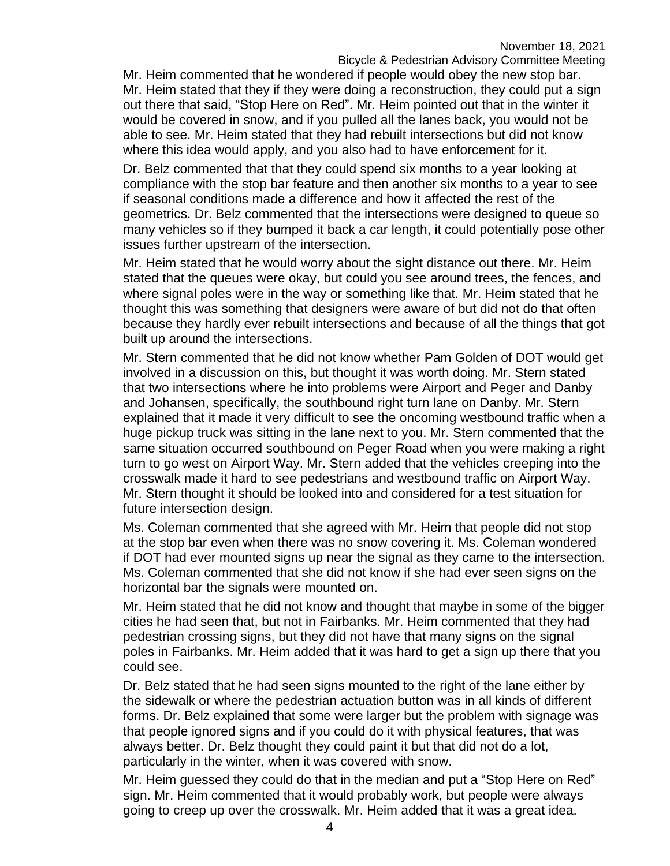Mr. Heim commented that he wondered if people would obey the new stop bar. Mr. Heim stated that they if they were doing a reconstruction, they could put a sign out there that said, "Stop Here on Red". Mr. Heim pointed out that in the winter it would be covered in snow, and if you pulled all the lanes back, you would not be able to see. Mr. Heim stated that they had rebuilt intersections but did not know where this idea would apply, and you also had to have enforcement for it.

Dr. Belz commented that that they could spend six months to a year looking at compliance with the stop bar feature and then another six months to a year to see if seasonal conditions made a difference and how it affected the rest of the geometrics. Dr. Belz commented that the intersections were designed to queue so many vehicles so if they bumped it back a car length, it could potentially pose other issues further upstream of the intersection.

Mr. Heim stated that he would worry about the sight distance out there. Mr. Heim stated that the queues were okay, but could you see around trees, the fences, and where signal poles were in the way or something like that. Mr. Heim stated that he thought this was something that designers were aware of but did not do that often because they hardly ever rebuilt intersections and because of all the things that got built up around the intersections.

Mr. Stern commented that he did not know whether Pam Golden of DOT would get involved in a discussion on this, but thought it was worth doing. Mr. Stern stated that two intersections where he into problems were Airport and Peger and Danby and Johansen, specifically, the southbound right turn lane on Danby. Mr. Stern explained that it made it very difficult to see the oncoming westbound traffic when a huge pickup truck was sitting in the lane next to you. Mr. Stern commented that the same situation occurred southbound on Peger Road when you were making a right turn to go west on Airport Way. Mr. Stern added that the vehicles creeping into the crosswalk made it hard to see pedestrians and westbound traffic on Airport Way. Mr. Stern thought it should be looked into and considered for a test situation for future intersection design.

Ms. Coleman commented that she agreed with Mr. Heim that people did not stop at the stop bar even when there was no snow covering it. Ms. Coleman wondered if DOT had ever mounted signs up near the signal as they came to the intersection. Ms. Coleman commented that she did not know if she had ever seen signs on the horizontal bar the signals were mounted on.

Mr. Heim stated that he did not know and thought that maybe in some of the bigger cities he had seen that, but not in Fairbanks. Mr. Heim commented that they had pedestrian crossing signs, but they did not have that many signs on the signal poles in Fairbanks. Mr. Heim added that it was hard to get a sign up there that you could see.

Dr. Belz stated that he had seen signs mounted to the right of the lane either by the sidewalk or where the pedestrian actuation button was in all kinds of different forms. Dr. Belz explained that some were larger but the problem with signage was that people ignored signs and if you could do it with physical features, that was always better. Dr. Belz thought they could paint it but that did not do a lot, particularly in the winter, when it was covered with snow.

Mr. Heim guessed they could do that in the median and put a "Stop Here on Red" sign. Mr. Heim commented that it would probably work, but people were always going to creep up over the crosswalk. Mr. Heim added that it was a great idea.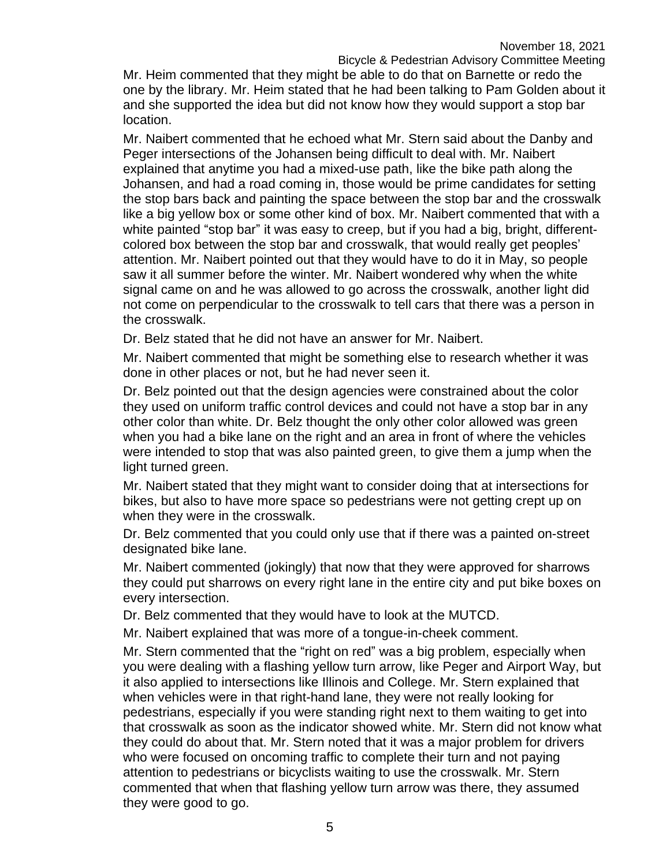Mr. Heim commented that they might be able to do that on Barnette or redo the one by the library. Mr. Heim stated that he had been talking to Pam Golden about it and she supported the idea but did not know how they would support a stop bar location.

Mr. Naibert commented that he echoed what Mr. Stern said about the Danby and Peger intersections of the Johansen being difficult to deal with. Mr. Naibert explained that anytime you had a mixed-use path, like the bike path along the Johansen, and had a road coming in, those would be prime candidates for setting the stop bars back and painting the space between the stop bar and the crosswalk like a big yellow box or some other kind of box. Mr. Naibert commented that with a white painted "stop bar" it was easy to creep, but if you had a big, bright, differentcolored box between the stop bar and crosswalk, that would really get peoples' attention. Mr. Naibert pointed out that they would have to do it in May, so people saw it all summer before the winter. Mr. Naibert wondered why when the white signal came on and he was allowed to go across the crosswalk, another light did not come on perpendicular to the crosswalk to tell cars that there was a person in the crosswalk.

Dr. Belz stated that he did not have an answer for Mr. Naibert.

Mr. Naibert commented that might be something else to research whether it was done in other places or not, but he had never seen it.

Dr. Belz pointed out that the design agencies were constrained about the color they used on uniform traffic control devices and could not have a stop bar in any other color than white. Dr. Belz thought the only other color allowed was green when you had a bike lane on the right and an area in front of where the vehicles were intended to stop that was also painted green, to give them a jump when the light turned green.

Mr. Naibert stated that they might want to consider doing that at intersections for bikes, but also to have more space so pedestrians were not getting crept up on when they were in the crosswalk.

Dr. Belz commented that you could only use that if there was a painted on-street designated bike lane.

Mr. Naibert commented (jokingly) that now that they were approved for sharrows they could put sharrows on every right lane in the entire city and put bike boxes on every intersection.

Dr. Belz commented that they would have to look at the MUTCD.

Mr. Naibert explained that was more of a tongue-in-cheek comment.

Mr. Stern commented that the "right on red" was a big problem, especially when you were dealing with a flashing yellow turn arrow, like Peger and Airport Way, but it also applied to intersections like Illinois and College. Mr. Stern explained that when vehicles were in that right-hand lane, they were not really looking for pedestrians, especially if you were standing right next to them waiting to get into that crosswalk as soon as the indicator showed white. Mr. Stern did not know what they could do about that. Mr. Stern noted that it was a major problem for drivers who were focused on oncoming traffic to complete their turn and not paying attention to pedestrians or bicyclists waiting to use the crosswalk. Mr. Stern commented that when that flashing yellow turn arrow was there, they assumed they were good to go.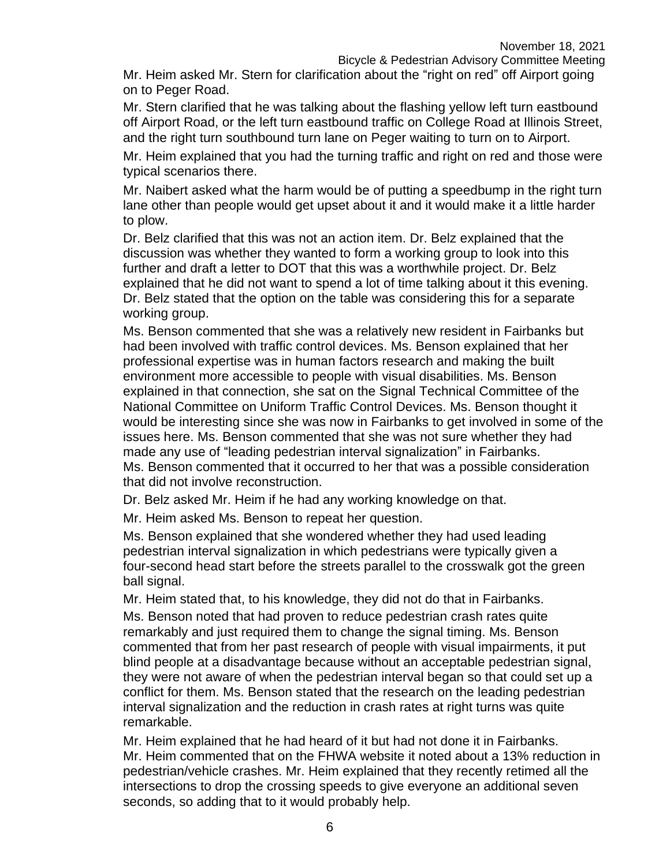Mr. Heim asked Mr. Stern for clarification about the "right on red" off Airport going on to Peger Road.

Mr. Stern clarified that he was talking about the flashing yellow left turn eastbound off Airport Road, or the left turn eastbound traffic on College Road at Illinois Street, and the right turn southbound turn lane on Peger waiting to turn on to Airport.

Mr. Heim explained that you had the turning traffic and right on red and those were typical scenarios there.

Mr. Naibert asked what the harm would be of putting a speedbump in the right turn lane other than people would get upset about it and it would make it a little harder to plow.

Dr. Belz clarified that this was not an action item. Dr. Belz explained that the discussion was whether they wanted to form a working group to look into this further and draft a letter to DOT that this was a worthwhile project. Dr. Belz explained that he did not want to spend a lot of time talking about it this evening. Dr. Belz stated that the option on the table was considering this for a separate working group.

Ms. Benson commented that she was a relatively new resident in Fairbanks but had been involved with traffic control devices. Ms. Benson explained that her professional expertise was in human factors research and making the built environment more accessible to people with visual disabilities. Ms. Benson explained in that connection, she sat on the Signal Technical Committee of the National Committee on Uniform Traffic Control Devices. Ms. Benson thought it would be interesting since she was now in Fairbanks to get involved in some of the issues here. Ms. Benson commented that she was not sure whether they had made any use of "leading pedestrian interval signalization" in Fairbanks. Ms. Benson commented that it occurred to her that was a possible consideration that did not involve reconstruction.

Dr. Belz asked Mr. Heim if he had any working knowledge on that.

Mr. Heim asked Ms. Benson to repeat her question.

Ms. Benson explained that she wondered whether they had used leading pedestrian interval signalization in which pedestrians were typically given a four-second head start before the streets parallel to the crosswalk got the green ball signal.

Mr. Heim stated that, to his knowledge, they did not do that in Fairbanks. Ms. Benson noted that had proven to reduce pedestrian crash rates quite remarkably and just required them to change the signal timing. Ms. Benson commented that from her past research of people with visual impairments, it put blind people at a disadvantage because without an acceptable pedestrian signal, they were not aware of when the pedestrian interval began so that could set up a conflict for them. Ms. Benson stated that the research on the leading pedestrian interval signalization and the reduction in crash rates at right turns was quite remarkable.

Mr. Heim explained that he had heard of it but had not done it in Fairbanks. Mr. Heim commented that on the FHWA website it noted about a 13% reduction in pedestrian/vehicle crashes. Mr. Heim explained that they recently retimed all the intersections to drop the crossing speeds to give everyone an additional seven seconds, so adding that to it would probably help.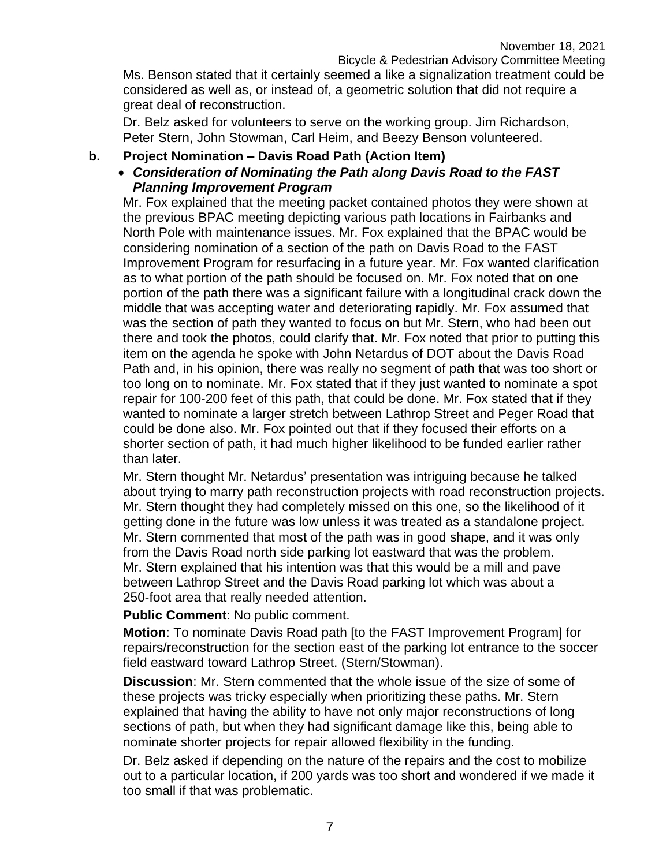Ms. Benson stated that it certainly seemed a like a signalization treatment could be considered as well as, or instead of, a geometric solution that did not require a great deal of reconstruction.

Dr. Belz asked for volunteers to serve on the working group. Jim Richardson, Peter Stern, John Stowman, Carl Heim, and Beezy Benson volunteered.

#### **b. Project Nomination – Davis Road Path (Action Item)**

#### *Consideration of Nominating the Path along Davis Road to the FAST Planning Improvement Program*

Mr. Fox explained that the meeting packet contained photos they were shown at the previous BPAC meeting depicting various path locations in Fairbanks and North Pole with maintenance issues. Mr. Fox explained that the BPAC would be considering nomination of a section of the path on Davis Road to the FAST Improvement Program for resurfacing in a future year. Mr. Fox wanted clarification as to what portion of the path should be focused on. Mr. Fox noted that on one portion of the path there was a significant failure with a longitudinal crack down the middle that was accepting water and deteriorating rapidly. Mr. Fox assumed that was the section of path they wanted to focus on but Mr. Stern, who had been out there and took the photos, could clarify that. Mr. Fox noted that prior to putting this item on the agenda he spoke with John Netardus of DOT about the Davis Road Path and, in his opinion, there was really no segment of path that was too short or too long on to nominate. Mr. Fox stated that if they just wanted to nominate a spot repair for 100-200 feet of this path, that could be done. Mr. Fox stated that if they wanted to nominate a larger stretch between Lathrop Street and Peger Road that could be done also. Mr. Fox pointed out that if they focused their efforts on a shorter section of path, it had much higher likelihood to be funded earlier rather than later.

Mr. Stern thought Mr. Netardus' presentation was intriguing because he talked about trying to marry path reconstruction projects with road reconstruction projects. Mr. Stern thought they had completely missed on this one, so the likelihood of it getting done in the future was low unless it was treated as a standalone project. Mr. Stern commented that most of the path was in good shape, and it was only from the Davis Road north side parking lot eastward that was the problem. Mr. Stern explained that his intention was that this would be a mill and pave between Lathrop Street and the Davis Road parking lot which was about a 250-foot area that really needed attention.

**Public Comment**: No public comment.

**Motion**: To nominate Davis Road path [to the FAST Improvement Program] for repairs/reconstruction for the section east of the parking lot entrance to the soccer field eastward toward Lathrop Street. (Stern/Stowman).

**Discussion**: Mr. Stern commented that the whole issue of the size of some of these projects was tricky especially when prioritizing these paths. Mr. Stern explained that having the ability to have not only major reconstructions of long sections of path, but when they had significant damage like this, being able to nominate shorter projects for repair allowed flexibility in the funding.

Dr. Belz asked if depending on the nature of the repairs and the cost to mobilize out to a particular location, if 200 yards was too short and wondered if we made it too small if that was problematic.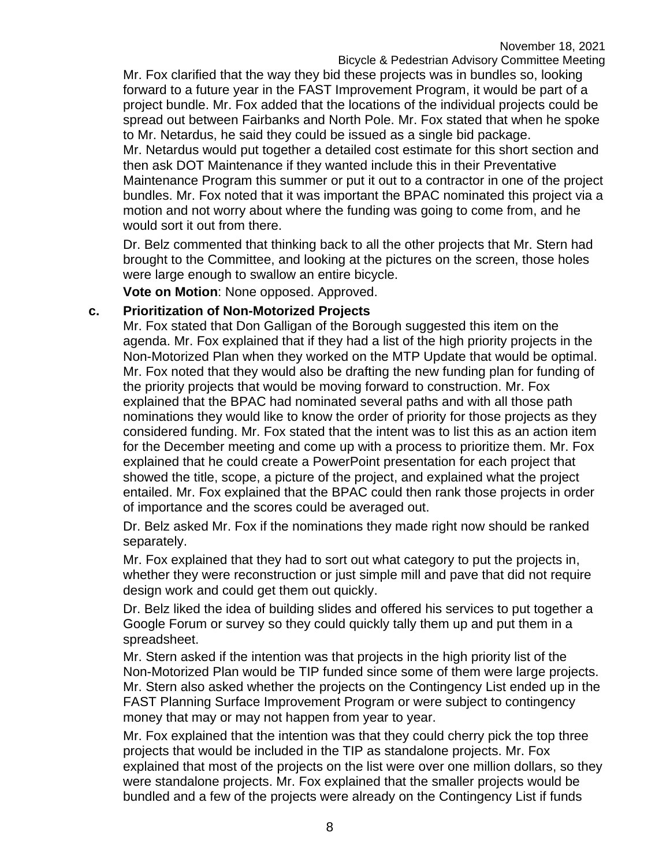Mr. Fox clarified that the way they bid these projects was in bundles so, looking forward to a future year in the FAST Improvement Program, it would be part of a project bundle. Mr. Fox added that the locations of the individual projects could be spread out between Fairbanks and North Pole. Mr. Fox stated that when he spoke to Mr. Netardus, he said they could be issued as a single bid package.

Mr. Netardus would put together a detailed cost estimate for this short section and then ask DOT Maintenance if they wanted include this in their Preventative Maintenance Program this summer or put it out to a contractor in one of the project bundles. Mr. Fox noted that it was important the BPAC nominated this project via a motion and not worry about where the funding was going to come from, and he would sort it out from there.

Dr. Belz commented that thinking back to all the other projects that Mr. Stern had brought to the Committee, and looking at the pictures on the screen, those holes were large enough to swallow an entire bicycle.

**Vote on Motion**: None opposed. Approved.

#### **c. Prioritization of Non-Motorized Projects**

Mr. Fox stated that Don Galligan of the Borough suggested this item on the agenda. Mr. Fox explained that if they had a list of the high priority projects in the Non-Motorized Plan when they worked on the MTP Update that would be optimal. Mr. Fox noted that they would also be drafting the new funding plan for funding of the priority projects that would be moving forward to construction. Mr. Fox explained that the BPAC had nominated several paths and with all those path nominations they would like to know the order of priority for those projects as they considered funding. Mr. Fox stated that the intent was to list this as an action item for the December meeting and come up with a process to prioritize them. Mr. Fox explained that he could create a PowerPoint presentation for each project that showed the title, scope, a picture of the project, and explained what the project entailed. Mr. Fox explained that the BPAC could then rank those projects in order of importance and the scores could be averaged out.

Dr. Belz asked Mr. Fox if the nominations they made right now should be ranked separately.

Mr. Fox explained that they had to sort out what category to put the projects in, whether they were reconstruction or just simple mill and pave that did not require design work and could get them out quickly.

Dr. Belz liked the idea of building slides and offered his services to put together a Google Forum or survey so they could quickly tally them up and put them in a spreadsheet.

Mr. Stern asked if the intention was that projects in the high priority list of the Non-Motorized Plan would be TIP funded since some of them were large projects. Mr. Stern also asked whether the projects on the Contingency List ended up in the FAST Planning Surface Improvement Program or were subject to contingency money that may or may not happen from year to year.

Mr. Fox explained that the intention was that they could cherry pick the top three projects that would be included in the TIP as standalone projects. Mr. Fox explained that most of the projects on the list were over one million dollars, so they were standalone projects. Mr. Fox explained that the smaller projects would be bundled and a few of the projects were already on the Contingency List if funds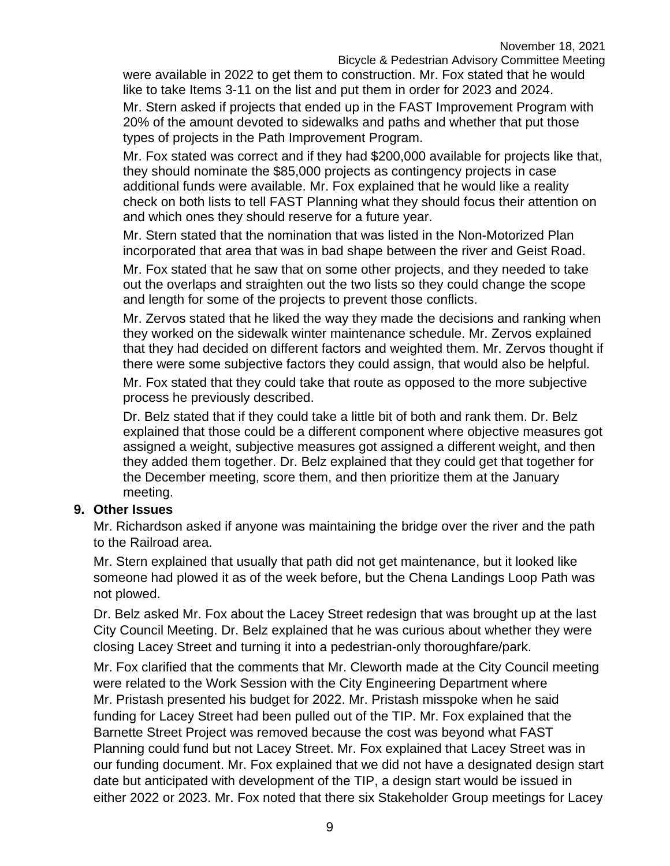were available in 2022 to get them to construction. Mr. Fox stated that he would like to take Items 3-11 on the list and put them in order for 2023 and 2024.

Mr. Stern asked if projects that ended up in the FAST Improvement Program with 20% of the amount devoted to sidewalks and paths and whether that put those types of projects in the Path Improvement Program.

Mr. Fox stated was correct and if they had \$200,000 available for projects like that, they should nominate the \$85,000 projects as contingency projects in case additional funds were available. Mr. Fox explained that he would like a reality check on both lists to tell FAST Planning what they should focus their attention on and which ones they should reserve for a future year.

Mr. Stern stated that the nomination that was listed in the Non-Motorized Plan incorporated that area that was in bad shape between the river and Geist Road.

Mr. Fox stated that he saw that on some other projects, and they needed to take out the overlaps and straighten out the two lists so they could change the scope and length for some of the projects to prevent those conflicts.

Mr. Zervos stated that he liked the way they made the decisions and ranking when they worked on the sidewalk winter maintenance schedule. Mr. Zervos explained that they had decided on different factors and weighted them. Mr. Zervos thought if there were some subjective factors they could assign, that would also be helpful.

Mr. Fox stated that they could take that route as opposed to the more subjective process he previously described.

Dr. Belz stated that if they could take a little bit of both and rank them. Dr. Belz explained that those could be a different component where objective measures got assigned a weight, subjective measures got assigned a different weight, and then they added them together. Dr. Belz explained that they could get that together for the December meeting, score them, and then prioritize them at the January meeting.

### **9. Other Issues**

Mr. Richardson asked if anyone was maintaining the bridge over the river and the path to the Railroad area.

Mr. Stern explained that usually that path did not get maintenance, but it looked like someone had plowed it as of the week before, but the Chena Landings Loop Path was not plowed.

Dr. Belz asked Mr. Fox about the Lacey Street redesign that was brought up at the last City Council Meeting. Dr. Belz explained that he was curious about whether they were closing Lacey Street and turning it into a pedestrian-only thoroughfare/park.

Mr. Fox clarified that the comments that Mr. Cleworth made at the City Council meeting were related to the Work Session with the City Engineering Department where Mr. Pristash presented his budget for 2022. Mr. Pristash misspoke when he said funding for Lacey Street had been pulled out of the TIP. Mr. Fox explained that the Barnette Street Project was removed because the cost was beyond what FAST Planning could fund but not Lacey Street. Mr. Fox explained that Lacey Street was in our funding document. Mr. Fox explained that we did not have a designated design start date but anticipated with development of the TIP, a design start would be issued in either 2022 or 2023. Mr. Fox noted that there six Stakeholder Group meetings for Lacey